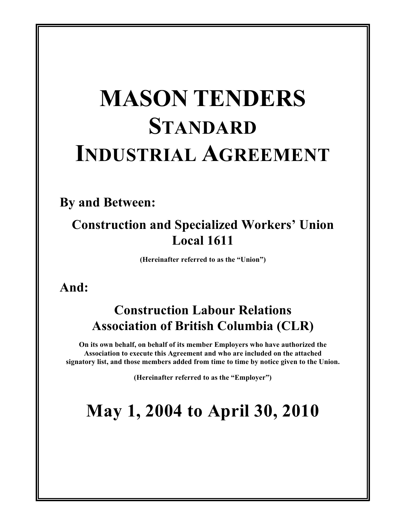# **MASON TENDERS STANDARD INDUSTRIAL AGREEMENT**

### **By and Between:**

### **Construction and Specialized Workers' Union Local 1611**

**(Hereinafter referred to as the "Union")**

### **And:**

### **Construction Labour Relations Association of British Columbia (CLR)**

**On its own behalf, on behalf of its member Employers who have authorized the Association to execute this Agreement and who are included on the attached signatory list, and those members added from time to time by notice given to the Union.**

**(Hereinafter referred to as the "Employer")**

## **May 1, 2004 to April 30, 2010**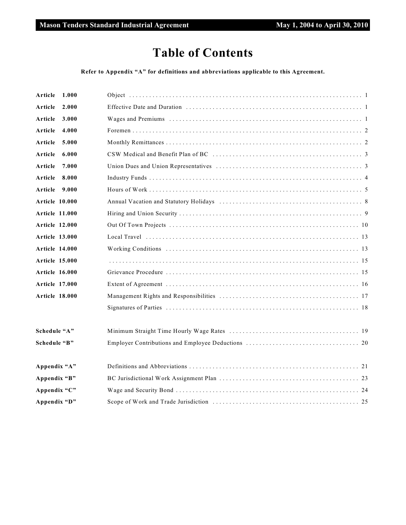### **Table of Contents**

#### **Refer to Appendix "A" for definitions and abbreviations applicable to this Agreement.**

| Article<br>1.000      |                                                                                                      |
|-----------------------|------------------------------------------------------------------------------------------------------|
| Article<br>2.000      |                                                                                                      |
| Article<br>3.000      |                                                                                                      |
| Article<br>4.000      |                                                                                                      |
| Article<br>5.000      |                                                                                                      |
| Article<br>6.000      |                                                                                                      |
| Article<br>7.000      |                                                                                                      |
| Article<br>8.000      |                                                                                                      |
| Article<br>9.000      |                                                                                                      |
| Article 10.000        |                                                                                                      |
| <b>Article 11.000</b> |                                                                                                      |
| <b>Article 12.000</b> |                                                                                                      |
| <b>Article 13.000</b> | Local Travel $\dots\dots\dots\dots\dots\dots\dots\dots\dots\dots\dots\dots\dots\dots\dots\dots\dots$ |
| Article 14.000        |                                                                                                      |
| <b>Article 15.000</b> |                                                                                                      |
| <b>Article 16.000</b> |                                                                                                      |
| <b>Article 17.000</b> |                                                                                                      |
| <b>Article 18.000</b> |                                                                                                      |
|                       |                                                                                                      |
| Schedule "A"          |                                                                                                      |
| Schedule "B"          |                                                                                                      |
| Appendix "A"          |                                                                                                      |
| Appendix "B"          |                                                                                                      |
| Appendix "C"          |                                                                                                      |
| Appendix "D"          |                                                                                                      |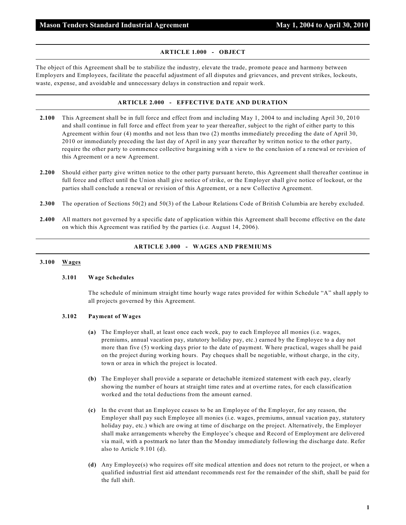#### **ARTICLE 1.000 - OBJECT**

The object of this Agreement shall be to stabilize the industry, elevate the trade, promote peace and harmony between Employers and Employees, facilitate the peaceful adjustment of all disputes and grievances, and prevent strikes, lockouts, waste, expense, and avoidable and unnecessary delays in construction and repair work.

#### **ARTICLE 2.000 - EFFECTIVE DATE AND DURATION**

- **2.100** This Agreement shall be in full force and effect from and including May 1, 2004 to and including April 30, 2010 and shall continue in full force and effect from year to year thereafter, subject to the right of either party to this Agreement within four (4) months and not less than two (2) months immediately preceding the date of April 30, 2010 or immediately preceding the last day of April in any year thereafter by written notice to the other party, require the other party to commence collective bargaining with a view to the conclusion of a renewal or revision of this Agreement or a new Agreement.
- **2.200** Should either party give written notice to the other party pursuant hereto, this Agreement shall thereafter continue in full force and effect until the Union shall give notice of strike, or the Employer shall give notice of lockout, or the parties shall conclude a renewal or revision of this Agreement, or a new Collective Agreement.
- **2.300** The operation of Sections 50(2) and 50(3) of the Labour Relations Code of British Columbia are hereby excluded.
- **2.400** All matters not governed by a specific date of application within this Agreement shall become effective on the date on which this Agreement was ratified by the parties (i.e. August 14, 2006).

#### **ARTICLE 3.000 - WAGES AND PREMIUMS**

#### **3.100 Wages**

#### **3.101 Wage Schedules**

The schedule of minimum straight time hourly wage rates provided for within Schedule "A" shall apply to all projects governed by this Agreement.

#### **3.102 Payment of Wages**

- **(a)** The Employer shall, at least once each week, pay to each Employee all monies (i.e. wages, premiums, annual vacation pay, statutory holiday pay, etc.) earned by the Employee to a day not more than five (5) working days prior to the date of payment. Where practical, wages shall be paid on the project during working hours. Pay cheques shall be negotiable, without charge, in the city, town or area in which the project is located.
- **(b)** The Employer shall provide a separate or detachable itemized statement with each pay, clearly showing the number of hours at straight time rates and at overtime rates, for each classification worked and the total deductions from the amount earned.
- **(c)** In the event that an Employee ceases to be an Employee of the Employer, for any reason, the Employer shall pay such Employee all monies (i.e. wages, premiums, annual vacation pay, statutory holiday pay, etc.) which are owing at time of discharge on the project. Alternatively, the Employer shall make arrangements whereby the Employee's cheque and Record of Employment are delivered via mail, with a postmark no later than the Monday immediately following the discharge date. Refer also to Article 9.101 (d).
- **(d)** Any Employee(s) who requires off site medical attention and does not return to the project, or when a qualified industrial first aid attendant recommends rest for the remainder of the shift, shall be paid for the full shift.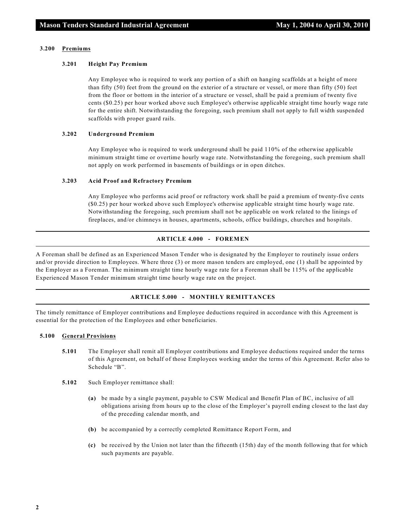#### **3.200 Premiums**

#### **3.201 Height Pay Premium**

Any Employee who is required to work any portion of a shift on hanging scaffolds at a height of more than fifty (50) feet from the ground on the exterior of a structure or vessel, or more than fifty (50) feet from the floor or bottom in the interior of a structure or vessel, shall be paid a premium of twenty five cents (\$0.25) per hour worked above such Employee's otherwise applicable straight time hourly wage rate for the entire shift. Notwithstanding the foregoing, such premium shall not apply to full width suspended scaffolds with proper guard rails.

#### **3.202 Underground Premium**

Any Employee who is required to work underground shall be paid 110% of the otherwise applicable minimum straight time or overtime hourly wage rate. Notwithstanding the foregoing, such premium shall not apply on work performed in basements of buildings or in open ditches.

#### **3.203 Acid Proof and Refractory Premium**

Any Employee who performs acid proof or refractory work shall be paid a premium of twenty-five cents (\$0.25) per hour worked above such Employee's otherwise applicable straight time hourly wage rate. Notwithstanding the foregoing, such premium shall not be applicable on work related to the linings of fireplaces, and/or chimneys in houses, apartments, schools, office buildings, churches and hospitals.

#### **ARTICLE 4.000 - FOREMEN**

A Foreman shall be defined as an Experienced Mason Tender who is designated by the Employer to routinely issue orders and/or provide direction to Employees. Where three (3) or more mason tenders are employed, one (1) shall be appointed by the Employer as a Foreman. The minimum straight time hourly wage rate for a Foreman shall be 115% of the applicable Experienced Mason Tender minimum straight time hourly wage rate on the project.

#### **ARTICLE 5.000 - MONTHLY REMITTANCES**

The timely remittance of Employer contributions and Employee deductions required in accordance with this Agreement is essential for the protection of the Employees and other beneficiaries.

#### **5.100 General Provisions**

- **5.101** The Employer shall remit all Employer contributions and Employee deductions required under the terms of this Agreement, on behalf of those Employees working under the terms of this Agreement. Refer also to Schedule "B".
- **5.102** Such Employer remittance shall:
	- **(a)** be made by a single payment, payable to CSW Medical and Benefit Plan of BC, inclusive of all obligations arising from hours up to the close of the Employer's payroll ending closest to the last day of the preceding calendar month, and
	- **(b)** be accompanied by a correctly completed Remittance Report Form, and
	- **(c)** be received by the Union not later than the fifteenth (15th) day of the month following that for which such payments are payable.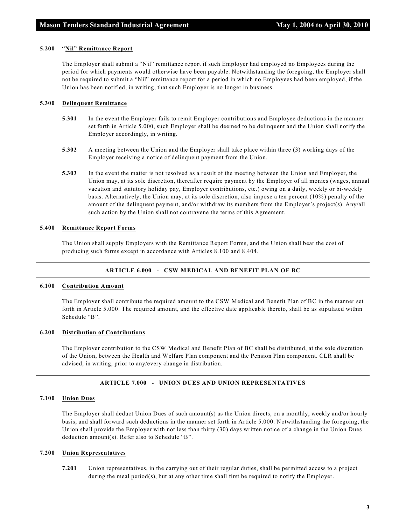#### **5.200 "Nil" Remittance Report**

The Employer shall submit a "Nil" remittance report if such Employer had employed no Employees during the period for which payments would otherwise have been payable. Notwithstanding the foregoing, the Employer shall not be required to submit a "Nil" remittance report for a period in which no Employees had been employed, if the Union has been notified, in writing, that such Employer is no longer in business.

#### **5.300 Delinquent Remittance**

- **5.301** In the event the Employer fails to remit Employer contributions and Employee deductions in the manner set forth in Article 5.000, such Employer shall be deemed to be delinquent and the Union shall notify the Employer accordingly, in writing.
- **5.302** A meeting between the Union and the Employer shall take place within three (3) working days of the Employer receiving a notice of delinquent payment from the Union.
- **5.303** In the event the matter is not resolved as a result of the meeting between the Union and Employer, the Union may, at its sole discretion, thereafter require payment by the Employer of all monies (wages, annual vacation and statutory holiday pay, Employer contributions, etc.) owing on a daily, weekly or bi-weekly basis. Alternatively, the Union may, at its sole discretion, also impose a ten percent (10%) penalty of the amount of the delinquent payment, and/or withdraw its members from the Employer's project(s). Any/all such action by the Union shall not contravene the terms of this Agreement.

#### **5.400 Remittance Report Forms**

The Union shall supply Employers with the Remittance Report Forms, and the Union shall bear the cost of producing such forms except in accordance with Articles 8.100 and 8.404.

#### **ARTICLE 6.000 - CSW MEDICAL AND BENEFIT PLAN OF BC**

#### **6.100 Contribution Amount**

The Employer shall contribute the required amount to the CSW Medical and Benefit Plan of BC in the manner set forth in Article 5.000. The required amount, and the effective date applicable thereto, shall be as stipulated within Schedule "B".

#### **6.200 Distribution of Contributions**

The Employer contribution to the CSW Medical and Benefit Plan of BC shall be distributed, at the sole discretion of the Union, between the Health and Welfare Plan component and the Pension Plan component. CLR shall be advised, in writing, prior to any/every change in distribution.

#### **ARTICLE 7.000 - UNION DUES AND UNION REPRESENTATIVES**

#### **7.100 Union Dues**

The Employer shall deduct Union Dues of such amount(s) as the Union directs, on a monthly, weekly and/or hourly basis, and shall forward such deductions in the manner set forth in Article 5.000. Notwithstanding the foregoing, the Union shall provide the Employer with not less than thirty (30) days written notice of a change in the Union Dues deduction amount(s). Refer also to Schedule "B".

#### **7.200 Union Representatives**

**7.201** Union representatives, in the carrying out of their regular duties, shall be permitted access to a project during the meal period(s), but at any other time shall first be required to notify the Employer.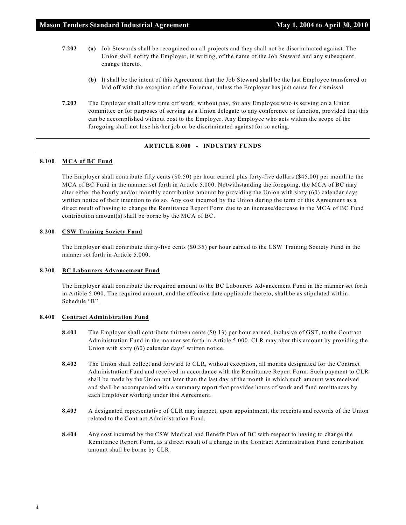- **7.202 (a)** Job Stewards shall be recognized on all projects and they shall not be discriminated against. The Union shall notify the Employer, in writing, of the name of the Job Steward and any subsequent change thereto.
	- **(b)** It shall be the intent of this Agreement that the Job Steward shall be the last Employee transferred or laid off with the exception of the Foreman, unless the Employer has just cause for dismissal.
- **7.203** The Employer shall allow time off work, without pay, for any Employee who is serving on a Union committee or for purposes of serving as a Union delegate to any conference or function, provided that this can be accomplished without cost to the Employer. Any Employee who acts within the scope of the foregoing shall not lose his/her job or be discriminated against for so acting.

#### **ARTICLE 8.000 - INDUSTRY FUNDS**

#### **8.100 MCA of BC Fund**

The Employer shall contribute fifty cents (\$0.50) per hour earned plus forty-five dollars (\$45.00) per month to the MCA of BC Fund in the manner set forth in Article 5.000. Notwithstanding the foregoing, the MCA of BC may alter either the hourly and/or monthly contribution amount by providing the Union with sixty (60) calendar days written notice of their intention to do so. Any cost incurred by the Union during the term of this Agreement as a direct result of having to change the Remittance Report Form due to an increase/decrease in the MCA of BC Fund contribution amount(s) shall be borne by the MCA of BC.

#### **8.200 CSW Training Society Fund**

The Employer shall contribute thirty-five cents (\$0.35) per hour earned to the CSW Training Society Fund in the manner set forth in Article 5.000.

#### **8.300 BC Labourers Advancement Fund**

The Employer shall contribute the required amount to the BC Labourers Advancement Fund in the manner set forth in Article 5.000. The required amount, and the effective date applicable thereto, shall be as stipulated within Schedule "B".

#### **8.400 Contract Administration Fund**

- **8.401** The Employer shall contribute thirteen cents (\$0.13) per hour earned, inclusive of GST, to the Contract Administration Fund in the manner set forth in Article 5.000. CLR may alter this amount by providing the Union with sixty (60) calendar days' written notice.
- **8.402** The Union shall collect and forward to CLR, without exception, all monies designated for the Contract Administration Fund and received in accordance with the Remittance Report Form. Such payment to CLR shall be made by the Union not later than the last day of the month in which such amount was received and shall be accompanied with a summary report that provides hours of work and fund remittances by each Employer working under this Agreement.
- **8.403** A designated representative of CLR may inspect, upon appointment, the receipts and records of the Union related to the Contract Administration Fund.
- **8.404** Any cost incurred by the CSW Medical and Benefit Plan of BC with respect to having to change the Remittance Report Form, as a direct result of a change in the Contract Administration Fund contribution amount shall be borne by CLR.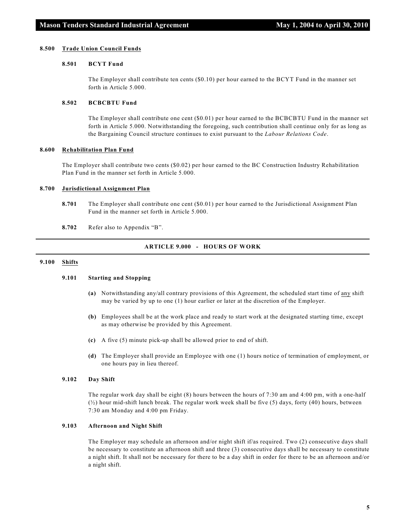#### **8.500 Trade Union Council Funds**

#### **8.501 BCYT Fund**

The Employer shall contribute ten cents (\$0.10) per hour earned to the BCYT Fund in the manner set forth in Article 5.000.

#### **8.502 BCBCBTU Fund**

The Employer shall contribute one cent (\$0.01) per hour earned to the BCBCBTU Fund in the manner set forth in Article 5.000. Notwithstanding the foregoing, such contribution shall continue only for as long as the Bargaining Council structure continues to exist pursuant to the *Labour Relations Code*.

#### **8.600 Rehabilitation Plan Fund**

The Employer shall contribute two cents (\$0.02) per hour earned to the BC Construction Industry Rehabilitation Plan Fund in the manner set forth in Article 5.000.

#### **8.700 Jurisdictional Assignment Plan**

- **8.701** The Employer shall contribute one cent (\$0.01) per hour earned to the Jurisdictional Assignment Plan Fund in the manner set forth in Article 5.000.
- **8.702** Refer also to Appendix "B".

#### **ARTICLE 9.000 - HOURS OF WORK**

#### **9.100 Shifts**

#### **9.101 Starting and Stopping**

- **(a)** Notwithstanding any/all contrary provisions of this Agreement, the scheduled start time of any shift may be varied by up to one (1) hour earlier or later at the discretion of the Employer.
- **(b)** Employees shall be at the work place and ready to start work at the designated starting time, except as may otherwise be provided by this Agreement.
- **(c)** A five (5) minute pick-up shall be allowed prior to end of shift.
- **(d)** The Employer shall provide an Employee with one (1) hours notice of termination of employment, or one hours pay in lieu thereof.

#### **9.102 Day Shift**

The regular work day shall be eight (8) hours between the hours of 7:30 am and 4:00 pm, with a one-half  $\binom{1}{2}$  hour mid-shift lunch break. The regular work week shall be five (5) days, forty (40) hours, between 7:30 am Monday and 4:00 pm Friday.

#### **9.103 Afternoon and Night Shift**

The Employer may schedule an afternoon and/or night shift if/as required. Two (2) consecutive days shall be necessary to constitute an afternoon shift and three (3) consecutive days shall be necessary to constitute a night shift. It shall not be necessary for there to be a day shift in order for there to be an afternoon and/or a night shift.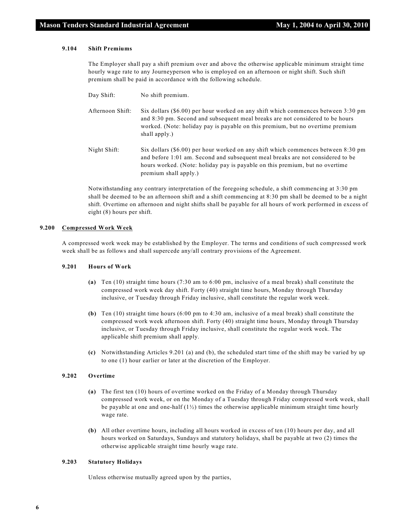#### **9.104 Shift Premiums**

The Employer shall pay a shift premium over and above the otherwise applicable minimum straight time hourly wage rate to any Journeyperson who is employed on an afternoon or night shift. Such shift premium shall be paid in accordance with the following schedule.

| Day Shift:       | No shift premium.                                                                                                                                                                                                                                                            |
|------------------|------------------------------------------------------------------------------------------------------------------------------------------------------------------------------------------------------------------------------------------------------------------------------|
| Afternoon Shift: | Six dollars $(\$6.00)$ per hour worked on any shift which commences between 3:30 pm<br>and 8:30 pm. Second and subsequent meal breaks are not considered to be hours<br>worked. (Note: holiday pay is payable on this premium, but no overtime premium<br>shall apply.)      |
| Night Shift:     | Six dollars (\$6.00) per hour worked on any shift which commences between 8:30 pm<br>and before 1:01 am. Second and subsequent meal breaks are not considered to be<br>hours worked. (Note: holiday pay is payable on this premium, but no overtime<br>premium shall apply.) |

Notwithstanding any contrary interpretation of the foregoing schedule, a shift commencing at 3:30 pm shall be deemed to be an afternoon shift and a shift commencing at 8:30 pm shall be deemed to be a night shift. Overtime on afternoon and night shifts shall be payable for all hours of work performed in excess of eight (8) hours per shift.

#### **9.200 Compressed Work Week**

A compressed work week may be established by the Employer. The terms and conditions of such compressed work week shall be as follows and shall supercede any/all contrary provisions of the Agreement.

#### **9.201 Hours of Work**

- **(a)** Ten (10) straight time hours (7:30 am to 6:00 pm, inclusive of a meal break) shall constitute the compressed work week day shift. Forty (40) straight time hours, Monday through Thursday inclusive, or Tuesday through Friday inclusive, shall constitute the regular work week.
- **(b)** Ten (10) straight time hours (6:00 pm to 4:30 am, inclusive of a meal break) shall constitute the compressed work week afternoon shift. Forty (40) straight time hours, Monday through Thursday inclusive, or Tuesday through Friday inclusive, shall constitute the regular work week. The applicable shift premium shall apply.
- **(c)** Notwithstanding Articles 9.201 (a) and (b), the scheduled start time of the shift may be varied by up to one (1) hour earlier or later at the discretion of the Employer.

#### **9.202 Overtime**

- **(a)** The first ten (10) hours of overtime worked on the Friday of a Monday through Thursday compressed work week, or on the Monday of a Tuesday through Friday compressed work week, shall be payable at one and one-half  $(1/2)$  times the otherwise applicable minimum straight time hourly wage rate.
- **(b)** All other overtime hours, including all hours worked in excess of ten (10) hours per day, and all hours worked on Saturdays, Sundays and statutory holidays, shall be payable at two (2) times the otherwise applicable straight time hourly wage rate.

#### **9.203 Statutory Holidays**

Unless otherwise mutually agreed upon by the parties,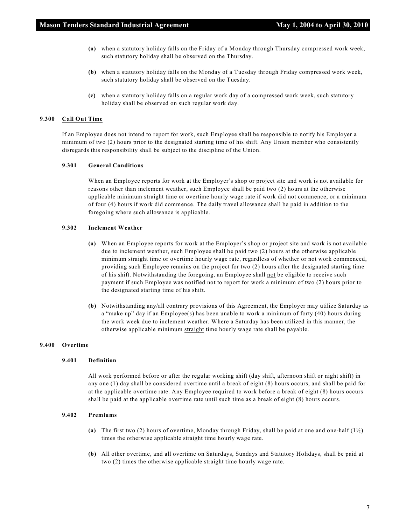- **(a)** when a statutory holiday falls on the Friday of a Monday through Thursday compressed work week, such statutory holiday shall be observed on the Thursday.
- **(b)** when a statutory holiday falls on the Monday of a Tuesday through Friday compressed work week, such statutory holiday shall be observed on the Tuesday.
- **(c)** when a statutory holiday falls on a regular work day of a compressed work week, such statutory holiday shall be observed on such regular work day.

#### **9.300 Call Out Time**

If an Employee does not intend to report for work, such Employee shall be responsible to notify his Employer a minimum of two (2) hours prior to the designated starting time of his shift. Any Union member who consistently disregards this responsibility shall be subject to the discipline of the Union.

#### **9.301 General Conditions**

When an Employee reports for work at the Employer's shop or project site and work is not available for reasons other than inclement weather, such Employee shall be paid two (2) hours at the otherwise applicable minimum straight time or overtime hourly wage rate if work did not commence, or a minimum of four (4) hours if work did commence. The daily travel allowance shall be paid in addition to the foregoing where such allowance is applicable.

#### **9.302 Inclement Weather**

- **(a)** When an Employee reports for work at the Employer's shop or project site and work is not available due to inclement weather, such Employee shall be paid two (2) hours at the otherwise applicable minimum straight time or overtime hourly wage rate, regardless of whether or not work commenced, providing such Employee remains on the project for two (2) hours after the designated starting time of his shift. Notwithstanding the foregoing, an Employee shall not be eligible to receive such payment if such Employee was notified not to report for work a minimum of two (2) hours prior to the designated starting time of his shift.
- **(b)** Notwithstanding any/all contrary provisions of this Agreement, the Employer may utilize Saturday as a "make up" day if an Employee(s) has been unable to work a minimum of forty (40) hours during the work week due to inclement weather. Where a Saturday has been utilized in this manner, the otherwise applicable minimum straight time hourly wage rate shall be payable.

#### **9.400 Overtime**

#### **9.401 Definition**

All work performed before or after the regular working shift (day shift, afternoon shift or night shift) in any one (1) day shall be considered overtime until a break of eight (8) hours occurs, and shall be paid for at the applicable overtime rate. Any Employee required to work before a break of eight (8) hours occurs shall be paid at the applicable overtime rate until such time as a break of eight (8) hours occurs.

#### **9.402 Premiums**

- **(a)** The first two (2) hours of overtime, Monday through Friday, shall be paid at one and one-half (1½) times the otherwise applicable straight time hourly wage rate.
- **(b)** All other overtime, and all overtime on Saturdays, Sundays and Statutory Holidays, shall be paid at two (2) times the otherwise applicable straight time hourly wage rate.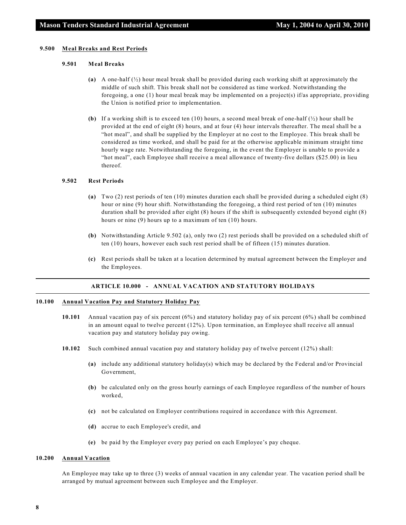#### **9.500 Meal Breaks and Rest Periods**

#### **9.501 Meal Breaks**

- **(a)** A one-half (½) hour meal break shall be provided during each working shift at approximately the middle of such shift. This break shall not be considered as time worked. Notwithstanding the foregoing, a one (1) hour meal break may be implemented on a project(s) if/as appropriate, providing the Union is notified prior to implementation.
- **(b)** If a working shift is to exceed ten (10) hours, a second meal break of one-half  $\left(\frac{1}{2}\right)$  hour shall be provided at the end of eight (8) hours, and at four (4) hour intervals thereafter. The meal shall be a "hot meal", and shall be supplied by the Employer at no cost to the Employee. This break shall be considered as time worked, and shall be paid for at the otherwise applicable minimum straight time hourly wage rate. Notwithstanding the foregoing, in the event the Employer is unable to provide a "hot meal", each Employee shall receive a meal allowance of twenty-five dollars (\$25.00) in lieu thereof.

#### **9.502 Rest Periods**

- **(a)** Two (2) rest periods of ten (10) minutes duration each shall be provided during a scheduled eight (8) hour or nine (9) hour shift. Notwithstanding the foregoing, a third rest period of ten (10) minutes duration shall be provided after eight (8) hours if the shift is subsequently extended beyond eight (8) hours or nine (9) hours up to a maximum of ten (10) hours.
- **(b)** Notwithstanding Article 9.502 (a), only two (2) rest periods shall be provided on a scheduled shift of ten (10) hours, however each such rest period shall be of fifteen (15) minutes duration.
- **(c)** Rest periods shall be taken at a location determined by mutual agreement between the Employer and the Employees.

#### **ARTICLE 10.000 - ANNUAL VACATION AND STATUTORY HOLIDAYS**

#### **10.100 Annual Vacation Pay and Statutory Holiday Pay**

- **10.101** Annual vacation pay of six percent (6%) and statutory holiday pay of six percent (6%) shall be combined in an amount equal to twelve percent (12%). Upon termination, an Employee shall receive all annual vacation pay and statutory holiday pay owing.
- **10.102** Such combined annual vacation pay and statutory holiday pay of twelve percent (12%) shall:
	- **(a)** include any additional statutory holiday(s) which may be declared by the Federal and/or Provincial Government,
	- **(b)** be calculated only on the gross hourly earnings of each Employee regardless of the number of hours worked,
	- **(c)** not be calculated on Employer contributions required in accordance with this Agreement.
	- **(d)** accrue to each Employee's credit, and
	- **(e)** be paid by the Employer every pay period on each Employee's pay cheque.

#### **10.200 Annual Vacation**

An Employee may take up to three (3) weeks of annual vacation in any calendar year. The vacation period shall be arranged by mutual agreement between such Employee and the Employer.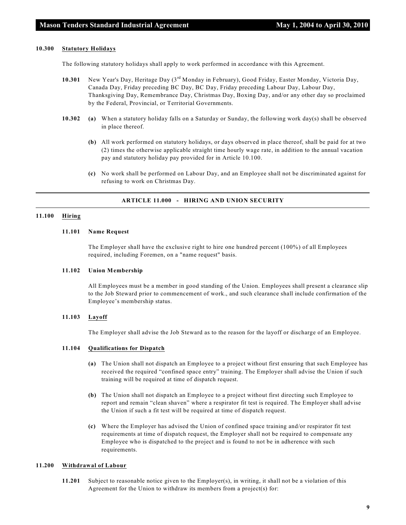#### **10.300 Statutory Holidays**

The following statutory holidays shall apply to work performed in accordance with this Agreement.

- 10.301 New Year's Day, Heritage Day (3<sup>rd</sup> Monday in February), Good Friday, Easter Monday, Victoria Day, Canada Day, Friday preceding BC Day, BC Day, Friday preceding Labour Day, Labour Day, Thanksgiving Day, Remembrance Day, Christmas Day, Boxing Day, and/or any other day so proclaimed by the Federal, Provincial, or Territorial Governments.
- **10.302 (a)** When a statutory holiday falls on a Saturday or Sunday, the following work day(s) shall be observed in place thereof.
	- **(b)** All work performed on statutory holidays, or days observed in place thereof, shall be paid for at two (2) times the otherwise applicable straight time hourly wage rate, in addition to the annual vacation pay and statutory holiday pay provided for in Article 10.100.
	- **(c)** No work shall be performed on Labour Day, and an Employee shall not be discriminated against for refusing to work on Christmas Day.

#### **ARTICLE 11.000 - HIRING AND UNION SECURITY**

#### **11.100 Hiring**

#### **11.101 Name Request**

The Employer shall have the exclusive right to hire one hundred percent (100%) of all Employees required, including Foremen, on a "name request" basis.

#### **11.102 Union Membership**

All Employees must be a member in good standing of the Union. Employees shall present a clearance slip to the Job Steward prior to commencement of work., and such clearance shall include confirmation of the Employee's membership status.

#### **11.103 Layoff**

The Employer shall advise the Job Steward as to the reason for the layoff or discharge of an Employee.

#### **11.104 Qualifications for Dispatch**

- **(a)** The Union shall not dispatch an Employee to a project without first ensuring that such Employee has received the required "confined space entry" training. The Employer shall advise the Union if such training will be required at time of dispatch request.
- **(b)** The Union shall not dispatch an Employee to a project without first directing such Employee to report and remain "clean shaven" where a respirator fit test is required. The Employer shall advise the Union if such a fit test will be required at time of dispatch request.
- **(c)** Where the Employer has advised the Union of confined space training and/or respirator fit test requirements at time of dispatch request, the Employer shall not be required to compensate any Employee who is dispatched to the project and is found to not be in adherence with such requirements.

#### **11.200 Withdrawal of Labour**

**11.201** Subject to reasonable notice given to the Employer(s), in writing, it shall not be a violation of this Agreement for the Union to withdraw its members from a project(s) for: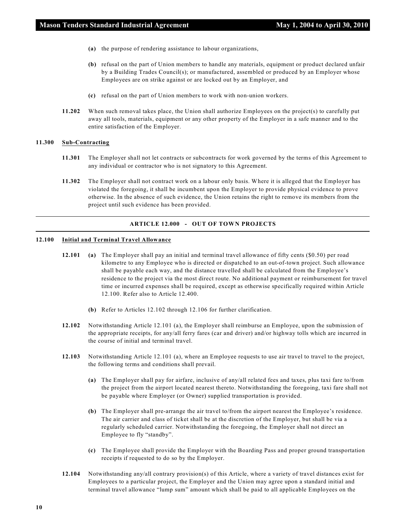- **(a)** the purpose of rendering assistance to labour organizations,
- **(b)** refusal on the part of Union members to handle any materials, equipment or product declared unfair by a Building Trades Council(s); or manufactured, assembled or produced by an Employer whose Employees are on strike against or are locked out by an Employer, and
- **(c)** refusal on the part of Union members to work with non-union workers.
- **11.202** When such removal takes place, the Union shall authorize Employees on the project(s) to carefully put away all tools, materials, equipment or any other property of the Employer in a safe manner and to the entire satisfaction of the Employer.

#### **11.300 Sub-Contracting**

- **11.301** The Employer shall not let contracts or subcontracts for work governed by the terms of this Agreement to any individual or contractor who is not signatory to this Agreement.
- **11.302** The Employer shall not contract work on a labour only basis. Where it is alleged that the Employer has violated the foregoing, it shall be incumbent upon the Employer to provide physical evidence to prove otherwise. In the absence of such evidence, the Union retains the right to remove its members from the project until such evidence has been provided.

#### **ARTICLE 12.000 - OUT OF TOWN PROJECTS**

#### **12.100 Initial and Terminal Travel Allowance**

- **12.101 (a)** The Employer shall pay an initial and terminal travel allowance of fifty cents (\$0.50) per road kilometre to any Employee who is directed or dispatched to an out-of-town project. Such allowance shall be payable each way, and the distance travelled shall be calculated from the Employee's residence to the project via the most direct route. No additional payment or reimbursement for travel time or incurred expenses shall be required, except as otherwise specifically required within Article 12.100. Refer also to Article 12.400.
	- **(b)** Refer to Articles 12.102 through 12.106 for further clarification.
- **12.102** Notwithstanding Article 12.101 (a), the Employer shall reimburse an Employee, upon the submission of the appropriate receipts, for any/all ferry fares (car and driver) and/or highway tolls which are incurred in the course of initial and terminal travel.
- **12.103** Notwithstanding Article 12.101 (a), where an Employee requests to use air travel to travel to the project, the following terms and conditions shall prevail.
	- **(a)** The Employer shall pay for airfare, inclusive of any/all related fees and taxes, plus taxi fare to/from the project from the airport located nearest thereto. Notwithstanding the foregoing, taxi fare shall not be payable where Employer (or Owner) supplied transportation is provided.
	- **(b)** The Employer shall pre-arrange the air travel to/from the airport nearest the Employee's residence. The air carrier and class of ticket shall be at the discretion of the Employer, but shall be via a regularly scheduled carrier. Notwithstanding the foregoing, the Employer shall not direct an Employee to fly "standby".
	- **(c)** The Employee shall provide the Employer with the Boarding Pass and proper ground transportation receipts if requested to do so by the Employer.
- **12.104** Notwithstanding any/all contrary provision(s) of this Article, where a variety of travel distances exist for Employees to a particular project, the Employer and the Union may agree upon a standard initial and terminal travel allowance "lump sum" amount which shall be paid to all applicable Employees on the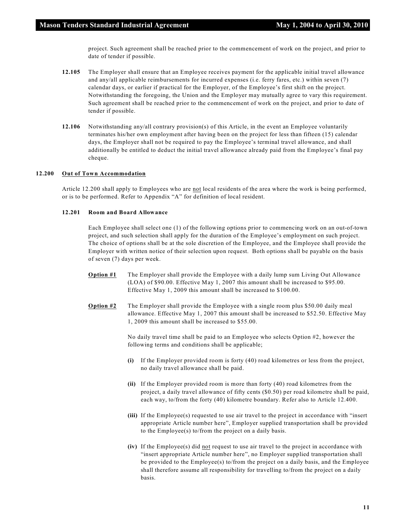project. Such agreement shall be reached prior to the commencement of work on the project, and prior to date of tender if possible.

- **12.105** The Employer shall ensure that an Employee receives payment for the applicable initial travel allowance and any/all applicable reimbursements for incurred expenses (i.e. ferry fares, etc.) within seven (7) calendar days, or earlier if practical for the Employer, of the Employee's first shift on the project. Notwithstanding the foregoing, the Union and the Employer may mutually agree to vary this requirement. Such agreement shall be reached prior to the commencement of work on the project, and prior to date of tender if possible.
- **12.106** Notwithstanding any/all contrary provision(s) of this Article, in the event an Employee voluntarily terminates his/her own employment after having been on the project for less than fifteen (15) calendar days, the Employer shall not be required to pay the Employee's terminal travel allowance, and shall additionally be entitled to deduct the initial travel allowance already paid from the Employee's final pay cheque.

#### **12.200 Out of Town Accommodation**

Article 12.200 shall apply to Employees who are not local residents of the area where the work is being performed, or is to be performed. Refer to Appendix "A" for definition of local resident.

#### **12.201 Room and Board Allowance**

Each Employee shall select one (1) of the following options prior to commencing work on an out-of-town project, and such selection shall apply for the duration of the Employee's employment on such project. The choice of options shall be at the sole discretion of the Employee, and the Employee shall provide the Employer with written notice of their selection upon request. Both options shall be payable on the basis of seven (7) days per week.

- **Option #1** The Employer shall provide the Employee with a daily lump sum Living Out Allowance (LOA) of \$90.00. Effective May 1, 2007 this amount shall be increased to \$95.00. Effective May 1, 2009 this amount shall be increased to \$100.00.
- **Option #2** The Employer shall provide the Employee with a single room plus \$50.00 daily meal allowance. Effective May 1, 2007 this amount shall be increased to \$52.50. Effective May 1, 2009 this amount shall be increased to \$55.00.

No daily travel time shall be paid to an Employee who selects Option #2, however the following terms and conditions shall be applicable;

- **(i)** If the Employer provided room is forty (40) road kilometres or less from the project, no daily travel allowance shall be paid.
- **(ii)** If the Employer provided room is more than forty (40) road kilometres from the project, a daily travel allowance of fifty cents (\$0.50) per road kilometre shall be paid, each way, to/from the forty (40) kilometre boundary. Refer also to Article 12.400.
- **(iii)** If the Employee(s) requested to use air travel to the project in accordance with "insert appropriate Article number here", Employer supplied transportation shall be provided to the Employee(s) to/from the project on a daily basis.
- **(iv)** If the Employee(s) did not request to use air travel to the project in accordance with "insert appropriate Article number here", no Employer supplied transportation shall be provided to the Employee(s) to/from the project on a daily basis, and the Employee shall therefore assume all responsibility for travelling to/from the project on a daily basis.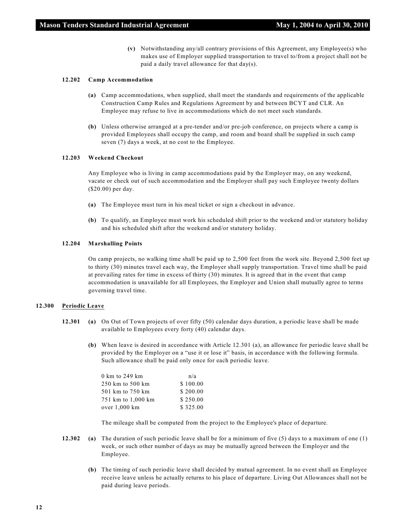**(v)** Notwithstanding any/all contrary provisions of this Agreement, any Employee(s) who makes use of Employer supplied transportation to travel to/from a project shall not be paid a daily travel allowance for that day(s).

#### **12.202 Camp Accommodation**

- **(a)** Camp accommodations, when supplied, shall meet the standards and requirements of the applicable Construction Camp Rules and Regulations Agreement by and between BCYT and CLR. An Employee may refuse to live in accommodations which do not meet such standards.
- **(b)** Unless otherwise arranged at a pre-tender and/or pre-job conference, on projects where a camp is provided Employees shall occupy the camp, and room and board shall be supplied in such camp seven (7) days a week, at no cost to the Employee.

#### **12.203 Weekend Checkout**

Any Employee who is living in camp accommodations paid by the Employer may, on any weekend, vacate or check out of such accommodation and the Employer shall pay such Employee twenty dollars (\$20.00) per day.

- **(a)** The Employee must turn in his meal ticket or sign a checkout in advance.
- **(b)** To qualify, an Employee must work his scheduled shift prior to the weekend and/or statutory holiday and his scheduled shift after the weekend and/or statutory holiday.

#### **12.204 Marshalling Points**

On camp projects, no walking time shall be paid up to 2,500 feet from the work site. Beyond 2,500 feet up to thirty (30) minutes travel each way, the Employer shall supply transportation. Travel time shall be paid at prevailing rates for time in excess of thirty (30) minutes. It is agreed that in the event that camp accommodation is unavailable for all Employees, the Employer and Union shall mutually agree to terms governing travel time.

#### **12.300 Periodic Leave**

- **12.301 (a)** On Out of Town projects of over fifty (50) calendar days duration, a periodic leave shall be made available to Employees every forty (40) calendar days.
	- **(b)** When leave is desired in accordance with Article 12.301 (a), an allowance for periodic leave shall be provided by the Employer on a "use it or lose it" basis, in accordance with the following formula. Such allowance shall be paid only once for each periodic leave.

| 0 km to 249 km     | n/a      |
|--------------------|----------|
| 250 km to 500 km   | \$100.00 |
| 501 km to 750 km   | \$200.00 |
| 751 km to 1,000 km | \$250.00 |
| over 1,000 km      | \$325.00 |
|                    |          |

The mileage shall be computed from the project to the Employee's place of departure.

- **12.302 (a)** The duration of such periodic leave shall be for a minimum of five (5) days to a maximum of one (1) week, or such other number of days as may be mutually agreed between the Employer and the Employee.
	- **(b)** The timing of such periodic leave shall decided by mutual agreement. In no event shall an Employee receive leave unless he actually returns to his place of departure. Living Out Allowances shall not be paid during leave periods.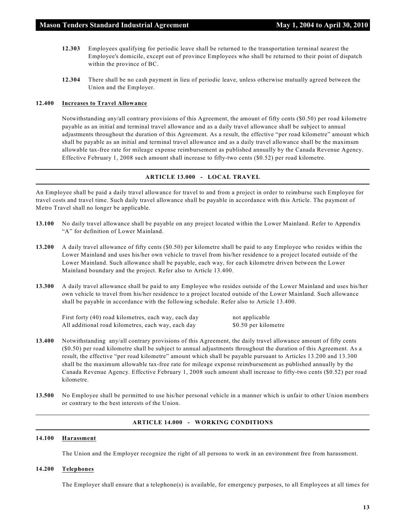- **12.303** Employees qualifying for periodic leave shall be returned to the transportation terminal nearest the Employee's domicile, except out of province Employees who shall be returned to their point of dispatch within the province of BC.
- **12.304** There shall be no cash payment in lieu of periodic leave, unless otherwise mutually agreed between the Union and the Employer.

#### **12.400 Increases to Travel Allowance**

Notwithstanding any/all contrary provisions of this Agreement, the amount of fifty cents (\$0.50) per road kilometre payable as an initial and terminal travel allowance and as a daily travel allowance shall be subject to annual adjustments throughout the duration of this Agreement. As a result, the effective "per road kilometre" amount which shall be payable as an initial and terminal travel allowance and as a daily travel allowance shall be the maximum allowable tax-free rate for mileage expense reimbursement as published annually by the Canada Revenue Agency. Effective February 1, 2008 such amount shall increase to fifty-two cents (\$0.52) per road kilometre.

#### **ARTICLE 13.000 - LOCAL TRAVEL**

An Employee shall be paid a daily travel allowance for travel to and from a project in order to reimburse such Employee for travel costs and travel time. Such daily travel allowance shall be payable in accordance with this Article. The payment of Metro Travel shall no longer be applicable.

- **13.100** No daily travel allowance shall be payable on any project located within the Lower Mainland. Refer to Appendix "A" for definition of Lower Mainland.
- **13.200** A daily travel allowance of fifty cents (\$0.50) per kilometre shall be paid to any Employee who resides within the Lower Mainland and uses his/her own vehicle to travel from his/her residence to a project located outside of the Lower Mainland. Such allowance shall be payable, each way, for each kilometre driven between the Lower Mainland boundary and the project. Refer also to Article 13.400.
- **13.300** A daily travel allowance shall be paid to any Employee who resides outside of the Lower Mainland and uses his/her own vehicle to travel from his/her residence to a project located outside of the Lower Mainland. Such allowance shall be payable in accordance with the following schedule. Refer also to Article 13.400.

First forty (40) road kilometres, each way, each day not applicable All additional road kilometres, each way, each day \$0.50 per kilometre

- **13.400** Notwithstanding any/all contrary provisions of this Agreement, the daily travel allowance amount of fifty cents (\$0.50) per road kilometre shall be subject to annual adjustments throughout the duration of this Agreement. As a result, the effective "per road kilometre" amount which shall be payable pursuant to Articles 13.200 and 13.300 shall be the maximum allowable tax-free rate for mileage expense reimbursement as published annually by the Canada Revenue Agency. Effective February 1, 2008 such amount shall increase to fifty-two cents (\$0.52) per road kilometre.
- **13.500** No Employee shall be permitted to use his/her personal vehicle in a manner which is unfair to other Union members or contrary to the best interests of the Union.

#### **ARTICLE 14.000 - WORKING CONDITIONS**

#### **14.100 Harassment**

The Union and the Employer recognize the right of all persons to work in an environment free from harassment.

#### **14.200 Telephones**

The Employer shall ensure that a telephone(s) is available, for emergency purposes, to all Employees at all times for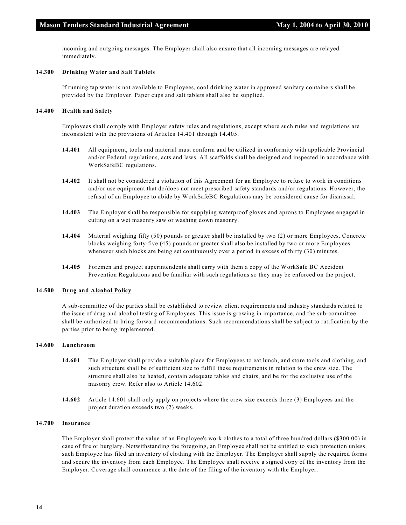incoming and outgoing messages. The Employer shall also ensure that all incoming messages are relayed immediately.

#### **14.300 Drinking Water and Salt Tablets**

If running tap water is not available to Employees, cool drinking water in approved sanitary containers shall be provided by the Employer. Paper cups and salt tablets shall also be supplied.

#### **14.400 Health and Safety**

Employees shall comply with Employer safety rules and regulations, except where such rules and regulations are inconsistent with the provisions of Articles 14.401 through 14.405.

- **14.401** All equipment, tools and material must conform and be utilized in conformity with applicable Provincial and/or Federal regulations, acts and laws. All scaffolds shall be designed and inspected in accordance with WorkSafeBC regulations.
- **14.402** It shall not be considered a violation of this Agreement for an Employee to refuse to work in conditions and/or use equipment that do/does not meet prescribed safety standards and/or regulations. However, the refusal of an Employee to abide by WorkSafeBC Regulations may be considered cause for dismissal.
- **14.403** The Employer shall be responsible for supplying waterproof gloves and aprons to Employees engaged in cutting on a wet masonry saw or washing down masonry.
- **14.404** Material weighing fifty (50) pounds or greater shall be installed by two (2) or more Employees. Concrete blocks weighing forty-five (45) pounds or greater shall also be installed by two or more Employees whenever such blocks are being set continuously over a period in excess of thirty (30) minutes.
- **14.405** Foremen and project superintendents shall carry with them a copy of the WorkSafe BC Accident Prevention Regulations and be familiar with such regulations so they may be enforced on the project.

#### **14.500 Drug and Alcohol Policy**

A sub-committee of the parties shall be established to review client requirements and industry standards related to the issue of drug and alcohol testing of Employees. This issue is growing in importance, and the sub-committee shall be authorized to bring forward recommendations. Such recommendations shall be subject to ratification by the parties prior to being implemented.

#### **14.600 Lunchroom**

- **14.601** The Employer shall provide a suitable place for Employees to eat lunch, and store tools and clothing, and such structure shall be of sufficient size to fulfill these requirements in relation to the crew size. The structure shall also be heated, contain adequate tables and chairs, and be for the exclusive use of the masonry crew. Refer also to Article 14.602.
- **14.602** Article 14.601 shall only apply on projects where the crew size exceeds three (3) Employees and the project duration exceeds two (2) weeks.

#### **14.700 Insurance**

The Employer shall protect the value of an Employee's work clothes to a total of three hundred dollars (\$300.00) in case of fire or burglary. Notwithstanding the foregoing, an Employee shall not be entitled to such protection unless such Employee has filed an inventory of clothing with the Employer. The Employer shall supply the required forms and secure the inventory from each Employee. The Employee shall receive a signed copy of the inventory from the Employer. Coverage shall commence at the date of the filing of the inventory with the Employer.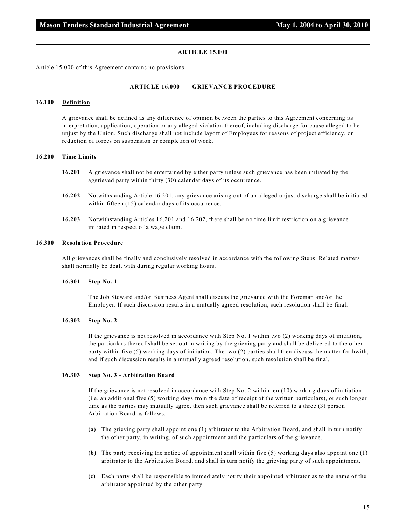#### **ARTICLE 15.000**

Article 15.000 of this Agreement contains no provisions.

#### **ARTICLE 16.000 - GRIEVANCE PROCEDURE**

#### **16.100 Definition**

A grievance shall be defined as any difference of opinion between the parties to this Agreement concerning its interpretation, application, operation or any alleged violation thereof, including discharge for cause alleged to be unjust by the Union. Such discharge shall not include layoff of Employees for reasons of project efficiency, or reduction of forces on suspension or completion of work.

#### **16.200 Time Limits**

- **16.201** A grievance shall not be entertained by either party unless such grievance has been initiated by the aggrieved party within thirty (30) calendar days of its occurrence.
- **16.202** Notwithstanding Article 16.201, any grievance arising out of an alleged unjust discharge shall be initiated within fifteen (15) calendar days of its occurrence.
- **16.203** Notwithstanding Articles 16.201 and 16.202, there shall be no time limit restriction on a grievance initiated in respect of a wage claim.

#### **16.300 Resolution Procedure**

All grievances shall be finally and conclusively resolved in accordance with the following Steps. Related matters shall normally be dealt with during regular working hours.

#### **16.301 Step No. 1**

The Job Steward and/or Business Agent shall discuss the grievance with the Foreman and/or the Employer. If such discussion results in a mutually agreed resolution, such resolution shall be final.

#### **16.302 Step No. 2**

If the grievance is not resolved in accordance with Step No. 1 within two (2) working days of initiation, the particulars thereof shall be set out in writing by the grieving party and shall be delivered to the other party within five (5) working days of initiation. The two (2) parties shall then discuss the matter forthwith, and if such discussion results in a mutually agreed resolution, such resolution shall be final.

#### **16.303 Step No. 3 - Arbitration Board**

If the grievance is not resolved in accordance with Step No. 2 within ten (10) working days of initiation (i.e. an additional five (5) working days from the date of receipt of the written particulars), or such longer time as the parties may mutually agree, then such grievance shall be referred to a three (3) person Arbitration Board as follows.

- **(a)** The grieving party shall appoint one (1) arbitrator to the Arbitration Board, and shall in turn notify the other party, in writing, of such appointment and the particulars of the grievance.
- **(b)** The party receiving the notice of appointment shall within five (5) working days also appoint one (1) arbitrator to the Arbitration Board, and shall in turn notify the grieving party of such appointment.
- **(c)** Each party shall be responsible to immediately notify their appointed arbitrator as to the name of the arbitrator appointed by the other party.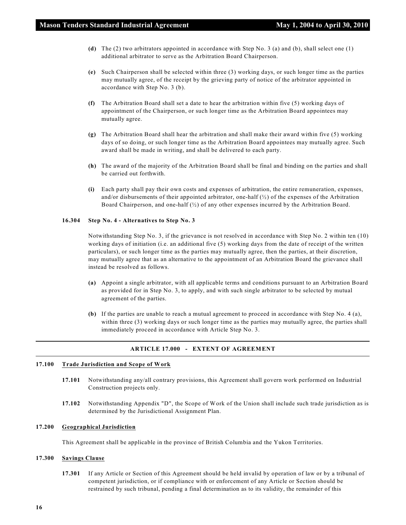- **(d)** The (2) two arbitrators appointed in accordance with Step No. 3 (a) and (b), shall select one (1) additional arbitrator to serve as the Arbitration Board Chairperson.
- **(e)** Such Chairperson shall be selected within three (3) working days, or such longer time as the parties may mutually agree, of the receipt by the grieving party of notice of the arbitrator appointed in accordance with Step No. 3 (b).
- **(f)** The Arbitration Board shall set a date to hear the arbitration within five (5) working days of appointment of the Chairperson, or such longer time as the Arbitration Board appointees may mutually agree.
- **(g)** The Arbitration Board shall hear the arbitration and shall make their award within five (5) working days of so doing, or such longer time as the Arbitration Board appointees may mutually agree. Such award shall be made in writing, and shall be delivered to each party.
- **(h)** The award of the majority of the Arbitration Board shall be final and binding on the parties and shall be carried out forthwith.
- **(i)** Each party shall pay their own costs and expenses of arbitration, the entire remuneration, expenses, and/or disbursements of their appointed arbitrator, one-half  $\langle \frac{1}{2} \rangle$  of the expenses of the Arbitration Board Chairperson, and one-half (½) of any other expenses incurred by the Arbitration Board.

#### **16.304 Step No. 4 - Alternatives to Step No. 3**

Notwithstanding Step No. 3, if the grievance is not resolved in accordance with Step No. 2 within ten (10) working days of initiation (i.e. an additional five (5) working days from the date of receipt of the written particulars), or such longer time as the parties may mutually agree, then the parties, at their discretion, may mutually agree that as an alternative to the appointment of an Arbitration Board the grievance shall instead be resolved as follows.

- **(a)** Appoint a single arbitrator, with all applicable terms and conditions pursuant to an Arbitration Board as provided for in Step No. 3, to apply, and with such single arbitrator to be selected by mutual agreement of the parties.
- **(b)** If the parties are unable to reach a mutual agreement to proceed in accordance with Step No. 4 (a), within three (3) working days or such longer time as the parties may mutually agree, the parties shall immediately proceed in accordance with Article Step No. 3.

#### **ARTICLE 17.000 - EXTENT OF AGREEMENT**

#### **17.100 Trade Jurisdiction and Scope of Work**

- **17.101** Notwithstanding any/all contrary provisions, this Agreement shall govern work performed on Industrial Construction projects only.
- **17.102** Notwithstanding Appendix "D", the Scope of Work of the Union shall include such trade jurisdiction as is determined by the Jurisdictional Assignment Plan.

#### **17.200 Geographical Jurisdiction**

This Agreement shall be applicable in the province of British Columbia and the Yukon Territories.

#### **17.300 Savings Clause**

**17.301** If any Article or Section of this Agreement should be held invalid by operation of law or by a tribunal of competent jurisdiction, or if compliance with or enforcement of any Article or Section should be restrained by such tribunal, pending a final determination as to its validity, the remainder of this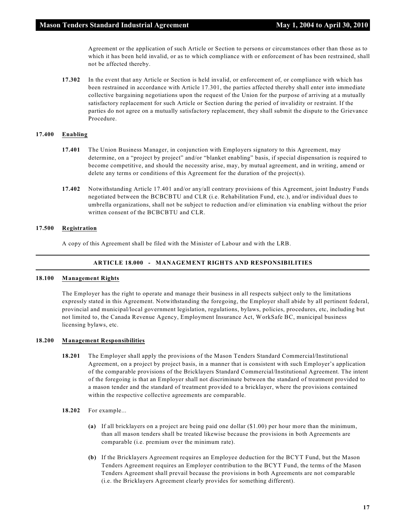Agreement or the application of such Article or Section to persons or circumstances other than those as to which it has been held invalid, or as to which compliance with or enforcement of has been restrained, shall not be affected thereby.

**17.302** In the event that any Article or Section is held invalid, or enforcement of, or compliance with which has been restrained in accordance with Article 17.301, the parties affected thereby shall enter into immediate collective bargaining negotiations upon the request of the Union for the purpose of arriving at a mutually satisfactory replacement for such Article or Section during the period of invalidity or restraint. If the parties do not agree on a mutually satisfactory replacement, they shall submit the dispute to the Grievance Procedure.

#### **17.400 Enabling**

- **17.401** The Union Business Manager, in conjunction with Employers signatory to this Agreement, may determine, on a "project by project" and/or "blanket enabling" basis, if special dispensation is required to become competitive, and should the necessity arise, may, by mutual agreement, and in writing, amend or delete any terms or conditions of this Agreement for the duration of the project(s).
- **17.402** Notwithstanding Article 17.401 and/or any/all contrary provisions of this Agreement, joint Industry Funds negotiated between the BCBCBTU and CLR (i.e. Rehabilitation Fund, etc.), and/or individual dues to umbrella organizations, shall not be subject to reduction and/or elimination via enabling without the prior written consent of the BCBCBTU and CLR.

#### **17.500 Registration**

A copy of this Agreement shall be filed with the Minister of Labour and with the LRB.

#### **ARTICLE 18.000 - MANAGEMENT RIGHTS AND RESPONSIBILITIES**

#### **18.100 Management Rights**

The Employer has the right to operate and manage their business in all respects subject only to the limitations expressly stated in this Agreement. Notwithstanding the foregoing, the Employer shall abide by all pertinent federal, provincial and municipal/local government legislation, regulations, bylaws, policies, procedures, etc, including but not limited to, the Canada Revenue Agency, Employment Insurance Act, WorkSafe BC, municipal business licensing bylaws, etc.

#### **18.200 Management Responsibilities**

- **18.201** The Employer shall apply the provisions of the Mason Tenders Standard Commercial/Institutional Agreement, on a project by project basis, in a manner that is consistent with such Employer's application of the comparable provisions of the Bricklayers Standard Commercial/Institutional Agreement. The intent of the foregoing is that an Employer shall not discriminate between the standard of treatment provided to a mason tender and the standard of treatment provided to a bricklayer, where the provisions contained within the respective collective agreements are comparable.
- **18.202** For example...
	- **(a)** If all bricklayers on a project are being paid one dollar (\$1.00) per hour more than the minimum, than all mason tenders shall be treated likewise because the provisions in both Agreements are comparable (i.e. premium over the minimum rate).
	- **(b)** If the Bricklayers Agreement requires an Employee deduction for the BCYT Fund, but the Mason Tenders Agreement requires an Employer contribution to the BCYT Fund, the terms of the Mason Tenders Agreement shall prevail because the provisions in both Agreements are not comparable (i.e. the Bricklayers Agreement clearly provides for something different).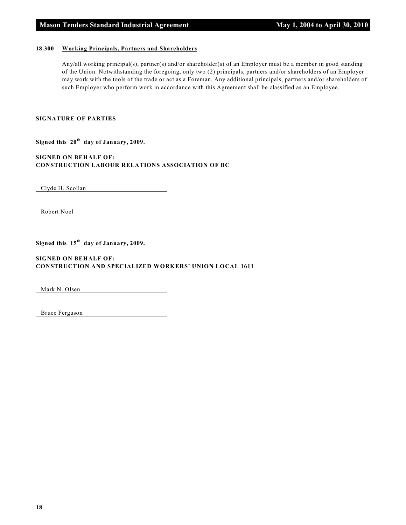#### **18.300 Working Principals, Partners and Shareholders**

Any/all working principal(s), partner(s) and/or shareholder(s) of an Employer must be a member in good standing of the Union. Notwithstanding the foregoing, only two (2) principals, partners and/or shareholders of an Employer may work with the tools of the trade or act as a Foreman. Any additional principals, partners and/or shareholders of such Employer who perform work in accordance with this Agreement shall be classified as an Employee.

#### **SIGNATURE OF PARTIES**

Signed this  $20<sup>th</sup>$  day of January, 2009.

**SIGNED ON BEHALF OF: CONSTRUCTION LABOUR RELATIONS ASSOCIATION OF BC**

Clyde H. Scollan

Robert Noel

Signed this  $15<sup>th</sup>$  day of January, 2009.

#### **SIGNED ON BEHALF OF: CONSTRUCTION AND SPECIALIZED WORKERS' UNION LOCAL 1611**

Mark N. Olsen

Bruce Ferguson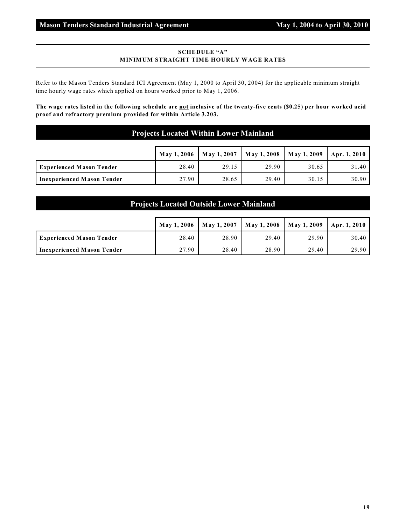#### **SCHEDULE "A" MINIMUM STRAIGHT TIME HOURLY WAGE RATES**

Refer to the Mason Tenders Standard ICI Agreement (May 1, 2000 to April 30, 2004) for the applicable minimum straight time hourly wage rates which applied on hours worked prior to May 1, 2006.

**The wage rates listed in the following schedule are not inclusive of the twenty-five cents (\$0.25) per hour worked acid proof and refractory premium provided for within Article 3.203.**

#### **Projects Located Within Lower Mainland**

|                                   | May 1, 2006 | May 1, 2007 |       | May 1, 2008   May 1, 2009   Apr. 1, 2010 |       |
|-----------------------------------|-------------|-------------|-------|------------------------------------------|-------|
| <b>Experienced Mason Tender</b>   | 28.40       | 29.15       | 29.90 | 30.65                                    | 31.40 |
| <b>Inexperienced Mason Tender</b> | 27.90       | 28.65       | 29.40 | 30.15                                    | 30.90 |

#### **Projects Located Outside Lower Mainland**

|                                   | <b>May 1, 2006</b> | <b>May 1, 2007</b> | May 1, 2008   May 1, 2009 |       | <sup>1</sup>   Apr. 1, 2010 |
|-----------------------------------|--------------------|--------------------|---------------------------|-------|-----------------------------|
| <b>Experienced Mason Tender</b>   | 28.40              | 28.90              | 29.40                     | 29.90 | 30.40                       |
| <b>Inexperienced Mason Tender</b> | 27.90              | 28.40              | 28.90                     | 29.40 | 29.90                       |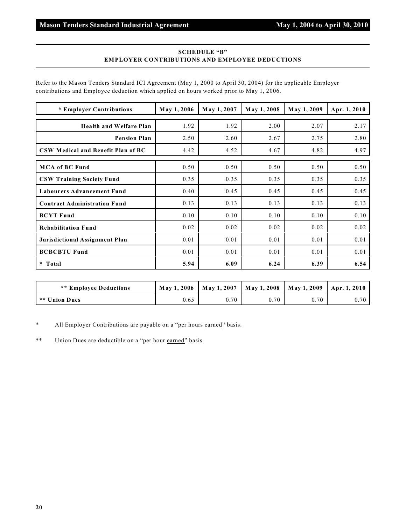#### **SCHEDULE "B" EMPLOYER CONTRIBUTIONS AND EMPLOYEE DEDUCTIONS**

Refer to the Mason Tenders Standard ICI Agreement (May 1, 2000 to April 30, 2004) for the applicable Employer contributions and Employee deduction which applied on hours worked prior to May 1, 2006.

| * Employer Contributions            | May 1, 2006 | May 1, 2007 | May 1, 2008 | May 1, 2009 | Apr. 1, 2010 |
|-------------------------------------|-------------|-------------|-------------|-------------|--------------|
| <b>Health and Welfare Plan</b>      | 1.92        | 1.92        | 2.00        | 2.07        | 2.17         |
| <b>Pension Plan</b>                 | 2.50        | 2.60        | 2.67        | 2.75        | 2.80         |
| CSW Medical and Benefit Plan of BC  | 4.42        | 4.52        | 4.67        | 4.82        | 4.97         |
| <b>MCA of BC Fund</b>               | 0.50        | 0.50        | 0.50        | 0.50        | 0.50         |
| <b>CSW Training Society Fund</b>    | 0.35        | 0.35        | 0.35        | 0.35        | 0.35         |
| <b>Labourers Advancement Fund</b>   | 0.40        | 0.45        | 0.45        | 0.45        | 0.45         |
| <b>Contract Administration Fund</b> | 0.13        | 0.13        | 0.13        | 0.13        | 0.13         |
| <b>BCYT Fund</b>                    | 0.10        | 0.10        | 0.10        | 0.10        | 0.10         |
| <b>Rehabilitation Fund</b>          | 0.02        | 0.02        | 0.02        | 0.02        | 0.02         |
| Jurisdictional Assignment Plan      | 0.01        | 0.01        | 0.01        | 0.01        | 0.01         |
| <b>BCBCBTU Fund</b>                 | 0.01        | 0.01        | 0.01        | 0.01        | 0.01         |
| $\star$<br>Total                    | 5.94        | 6.09        | 6.24        | 6.39        | 6.54         |

| <b>** Employee Deductions</b> |      |      | May 1, 2006   May 1, 2007   May 1, 2008   May 1, 2009   Apr. 1, 2010 |      |      |
|-------------------------------|------|------|----------------------------------------------------------------------|------|------|
| I ** Union Dues               | 0.65 | 0.70 | 0.70                                                                 | 0.70 | 0.70 |

\* All Employer Contributions are payable on a "per hours earned" basis.

\*\* Union Dues are deductible on a "per hour earned" basis.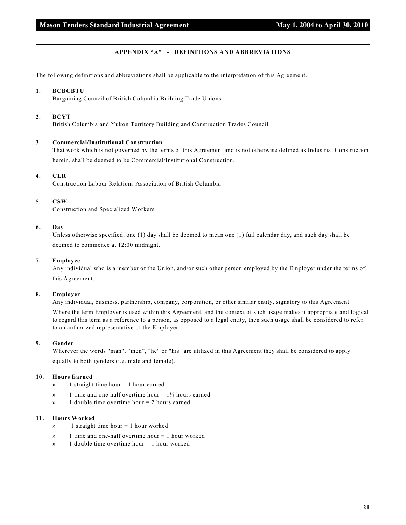#### **APPENDIX "A" - DEFINITIONS AND ABBREVIATIONS**

The following definitions and abbreviations shall be applicable to the interpretation of this Agreement.

#### **1. BCBCBTU**

Bargaining Council of British Columbia Building Trade Unions

#### **2. BCYT**

British Columbia and Yukon Territory Building and Construction Trades Council

#### **3. Commercial/Institutional Construction**

That work which is not governed by the terms of this Agreement and is not otherwise defined as Industrial Construction herein, shall be deemed to be Commercial/Institutional Construction.

#### **4. CLR**

Construction Labour Relations Association of British Columbia

#### **5. CSW**

Construction and Specialized Workers

#### **6. Day**

Unless otherwise specified, one (1) day shall be deemed to mean one (1) full calendar day, and such day shall be deemed to commence at 12:00 midnight.

#### **7. Employee**

Any individual who is a member of the Union, and/or such other person employed by the Employer under the terms of this Agreement.

#### **8. Employer**

Any individual, business, partnership, company, corporation, or other similar entity, signatory to this Agreement.

Where the term Employer is used within this Agreement, and the context of such usage makes it appropriate and logical to regard this term as a reference to a person, as opposed to a legal entity, then such usage shall be considered to refer to an authorized representative of the Employer.

#### **9. Gender**

Wherever the words "man", "men", "he" or "his" are utilized in this Agreement they shall be considered to apply equally to both genders (i.e. male and female).

#### **10. Hours Earned**

- » 1 straight time hour = 1 hour earned
- $\mathcal{P}$  1 time and one-half overtime hour = 1½ hours earned
- » 1 double time overtime hour = 2 hours earned

#### **11. Hours Worked**

- $\infty$  1 straight time hour = 1 hour worked
- » 1 time and one-half overtime hour = 1 hour worked
- $\mathcal{P}$  1 double time overtime hour = 1 hour worked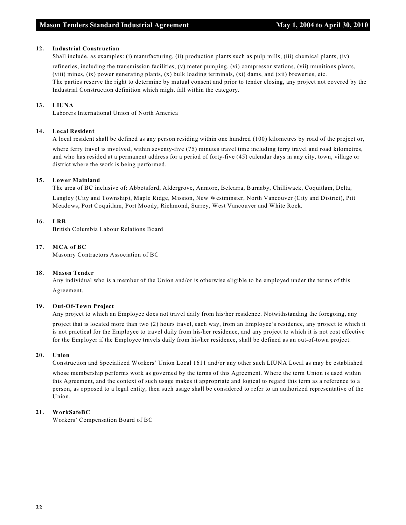#### **12. Industrial Construction**

Shall include, as examples: (i) manufacturing, (ii) production plants such as pulp mills, (iii) chemical plants, (iv)

refineries, including the transmission facilities, (v) meter pumping, (vi) compressor stations, (vii) munitions plants, (viii) mines, (ix) power generating plants, (x) bulk loading terminals, (xi) dams, and (xii) breweries, etc. The parties reserve the right to determine by mutual consent and prior to tender closing, any project not covered by the Industrial Construction definition which might fall within the category.

#### **13. LIUNA**

Laborers International Union of North America

#### **14. Local Resident**

A local resident shall be defined as any person residing within one hundred (100) kilometres by road of the project or,

where ferry travel is involved, within seventy-five (75) minutes travel time including ferry travel and road kilometres, and who has resided at a permanent address for a period of forty-five (45) calendar days in any city, town, village or district where the work is being performed.

#### **15. Lower Mainland**

The area of BC inclusive of: Abbotsford, Aldergrove, Anmore, Belcarra, Burnaby, Chilliwack, Coquitlam, Delta, Langley (City and Township), Maple Ridge, Mission, New Westminster, North Vancouver (City and District), Pitt Meadows, Port Coquitlam, Port Moody, Richmond, Surrey, West Vancouver and White Rock.

#### **16. LRB**

British Columbia Labour Relations Board

#### **17. MCA of BC**

Masonry Contractors Association of BC

#### **18. Mason Tender**

Any individual who is a member of the Union and/or is otherwise eligible to be employed under the terms of this Agreement.

#### **19. Out-Of-Town Project**

Any project to which an Employee does not travel daily from his/her residence. Notwithstanding the foregoing, any

project that is located more than two (2) hours travel, each way, from an Employee's residence, any project to which it is not practical for the Employee to travel daily from his/her residence, and any project to which it is not cost effective for the Employer if the Employee travels daily from his/her residence, shall be defined as an out-of-town project.

#### **20. Union**

Construction and Specialized Workers' Union Local 1611 and/or any other such LIUNA Local as may be established

whose membership performs work as governed by the terms of this Agreement. Where the term Union is used within this Agreement, and the context of such usage makes it appropriate and logical to regard this term as a reference to a person, as opposed to a legal entity, then such usage shall be considered to refer to an authorized representative of the Union.

#### **21. WorkSafeBC**

Workers' Compensation Board of BC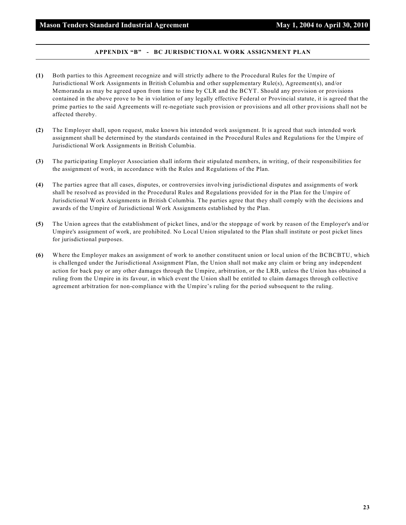#### **APPENDIX "B" - BC JURISDICTIONAL WORK ASSIGNMENT PLAN**

- **(1)** Both parties to this Agreement recognize and will strictly adhere to the Procedural Rules for the Umpire of Jurisdictional Work Assignments in British Columbia and other supplementary Rule(s), Agreement(s), and/or Memoranda as may be agreed upon from time to time by CLR and the BCYT. Should any provision or provisions contained in the above prove to be in violation of any legally effective Federal or Provincial statute, it is agreed that the prime parties to the said Agreements will re-negotiate such provision or provisions and all other provisions shall not be affected thereby.
- **(2)** The Employer shall, upon request, make known his intended work assignment. It is agreed that such intended work assignment shall be determined by the standards contained in the Procedural Rules and Regulations for the Umpire of Jurisdictional Work Assignments in British Columbia.
- **(3)** The participating Employer Association shall inform their stipulated members, in writing, of their responsibilities for the assignment of work, in accordance with the Rules and Regulations of the Plan.
- **(4)** The parties agree that all cases, disputes, or controversies involving jurisdictional disputes and assignments of work shall be resolved as provided in the Procedural Rules and Regulations provided for in the Plan for the Umpire of Jurisdictional Work Assignments in British Columbia. The parties agree that they shall comply with the decisions and awards of the Umpire of Jurisdictional Work Assignments established by the Plan.
- **(5)** The Union agrees that the establishment of picket lines, and/or the stoppage of work by reason of the Employer's and/or Umpire's assignment of work, are prohibited. No Local Union stipulated to the Plan shall institute or post picket lines for jurisdictional purposes.
- **(6)** Where the Employer makes an assignment of work to another constituent union or local union of the BCBCBTU, which is challenged under the Jurisdictional Assignment Plan, the Union shall not make any claim or bring any independent action for back pay or any other damages through the Umpire, arbitration, or the LRB, unless the Union has obtained a ruling from the Umpire in its favour, in which event the Union shall be entitled to claim damages through collective agreement arbitration for non-compliance with the Umpire's ruling for the period subsequent to the ruling.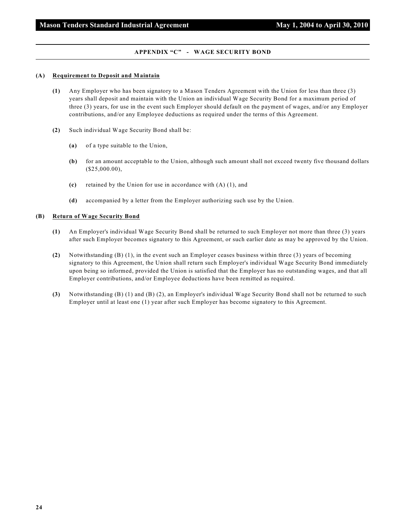#### **APPENDIX "C" - WAGE SECURITY BOND**

#### **(A) Requirement to Deposit and Maintain**

- **(1)** Any Employer who has been signatory to a Mason Tenders Agreement with the Union for less than three (3) years shall deposit and maintain with the Union an individual Wage Security Bond for a maximum period of three (3) years, for use in the event such Employer should default on the payment of wages, and/or any Employer contributions, and/or any Employee deductions as required under the terms of this Agreement.
- **(2)** Such individual Wage Security Bond shall be:
	- **(a)** of a type suitable to the Union,
	- **(b)** for an amount acceptable to the Union, although such amount shall not exceed twenty five thousand dollars (\$25,000.00),
	- **(c)** retained by the Union for use in accordance with (A) (1), and
	- **(d)** accompanied by a letter from the Employer authorizing such use by the Union.

#### **(B) Return of Wage Security Bond**

- **(1)** An Employer's individual Wage Security Bond shall be returned to such Employer not more than three (3) years after such Employer becomes signatory to this Agreement, or such earlier date as may be approved by the Union.
- **(2)** Notwithstanding (B) (1), in the event such an Employer ceases business within three (3) years of becoming signatory to this Agreement, the Union shall return such Employer's individual Wage Security Bond immediately upon being so informed, provided the Union is satisfied that the Employer has no outstanding wages, and that all Employer contributions, and/or Employee deductions have been remitted as required.
- **(3)** Notwithstanding (B) (1) and (B) (2), an Employer's individual Wage Security Bond shall not be returned to such Employer until at least one (1) year after such Employer has become signatory to this Agreement.